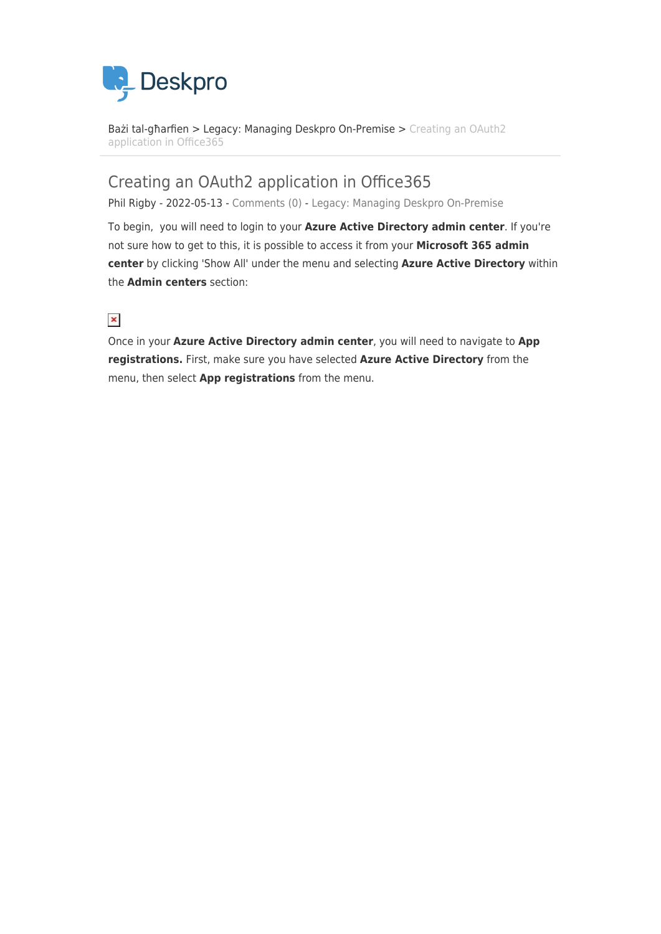

[Bażi tal-għarfien](https://support.deskpro.com/mt-MT/kb) > [Legacy: Managing Deskpro On-Premise](https://support.deskpro.com/mt-MT/kb/legacy-managing-deskpro-on-premise) > [Creating an OAuth2](https://support.deskpro.com/mt-MT/kb/articles/creating-an-oauth2-application-in-office365) [application in Office365](https://support.deskpro.com/mt-MT/kb/articles/creating-an-oauth2-application-in-office365)

## Creating an OAuth2 application in Office365

Phil Rigby - 2022-05-13 - [Comments \(0\)](#page--1-0) - [Legacy: Managing Deskpro On-Premise](https://support.deskpro.com/mt-MT/kb/legacy-managing-deskpro-on-premise)

To begin, you will need to login to your **Azure Active Directory admin center**. If you're not sure how to get to this, it is possible to access it from your **Microsoft 365 admin center** by clicking 'Show All' under the menu and selecting **Azure Active Directory** within the **Admin centers** section:

### $\pmb{\times}$

Once in your **Azure Active Directory admin center**, you will need to navigate to **App registrations.** First, make sure you have selected **Azure Active Directory** from the menu, then select **App registrations** from the menu.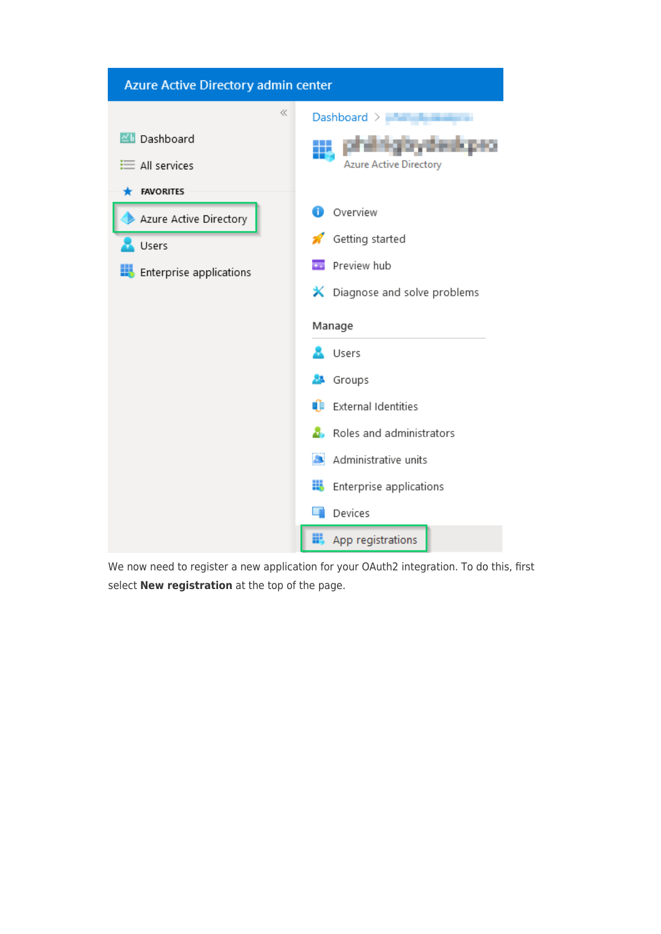| Azure Active Directory admin center                                                   |                                                                                                                                                                                               |  |  |  |
|---------------------------------------------------------------------------------------|-----------------------------------------------------------------------------------------------------------------------------------------------------------------------------------------------|--|--|--|
| ≪<br><b>ZII</b> Dashboard<br>$\equiv$ All services                                    | Dashboard ><br><b>Azure Active Directory</b>                                                                                                                                                  |  |  |  |
| <b>FAVORITES</b><br>Azure Active Directory<br>Users<br><b>Enterprise applications</b> | Overview<br>n.<br>Getting started<br>Preview hub<br><b>X</b> Diagnose and solve problems<br>Manage                                                                                            |  |  |  |
|                                                                                       | Users<br><b>A</b> Groups<br>ÚÞ<br>External Identities<br>Roles and administrators<br>Administrative units<br><b>STAR</b><br>8<br>Enterprise applications<br>Devices<br>App registrations<br>眠 |  |  |  |

We now need to register a new application for your OAuth2 integration. To do this, first select **New registration** at the top of the page.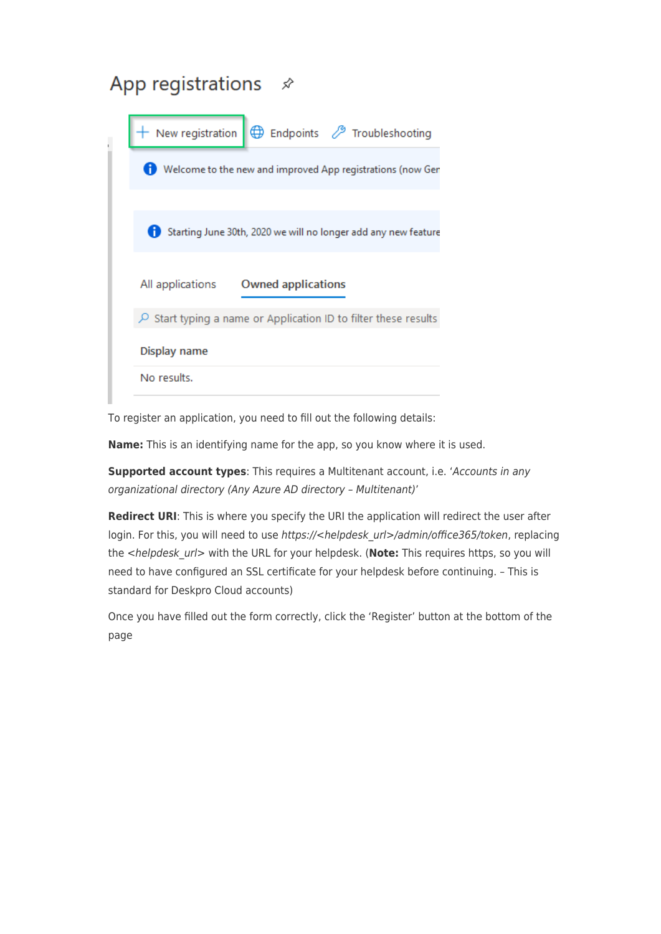# App registrations  $\mathcal{R}$

| New registration                                                        |                    | Endpoints <sup>2</sup> Troubleshooting                         |
|-------------------------------------------------------------------------|--------------------|----------------------------------------------------------------|
| Welcome to the new and improved App registrations (now Ger              |                    |                                                                |
|                                                                         |                    |                                                                |
|                                                                         |                    | Starting June 30th, 2020 we will no longer add any new feature |
| All applications                                                        | Owned applications |                                                                |
| $\varphi$ Start typing a name or Application ID to filter these results |                    |                                                                |
| Display name                                                            |                    |                                                                |
| No results.                                                             |                    |                                                                |

To register an application, you need to fill out the following details:

**Name:** This is an identifying name for the app, so you know where it is used.

**Supported account types**: This requires a Multitenant account, i.e. 'Accounts in any organizational directory (Any Azure AD directory – Multitenant)'

**Redirect URI**: This is where you specify the URI the application will redirect the user after login. For this, you will need to use https://<helpdesk\_url>/admin/office365/token, replacing the <helpdesk\_url> with the URL for your helpdesk. (**Note:** This requires https, so you will need to have configured an SSL certificate for your helpdesk before continuing. – This is standard for Deskpro Cloud accounts)

Once you have filled out the form correctly, click the 'Register' button at the bottom of the page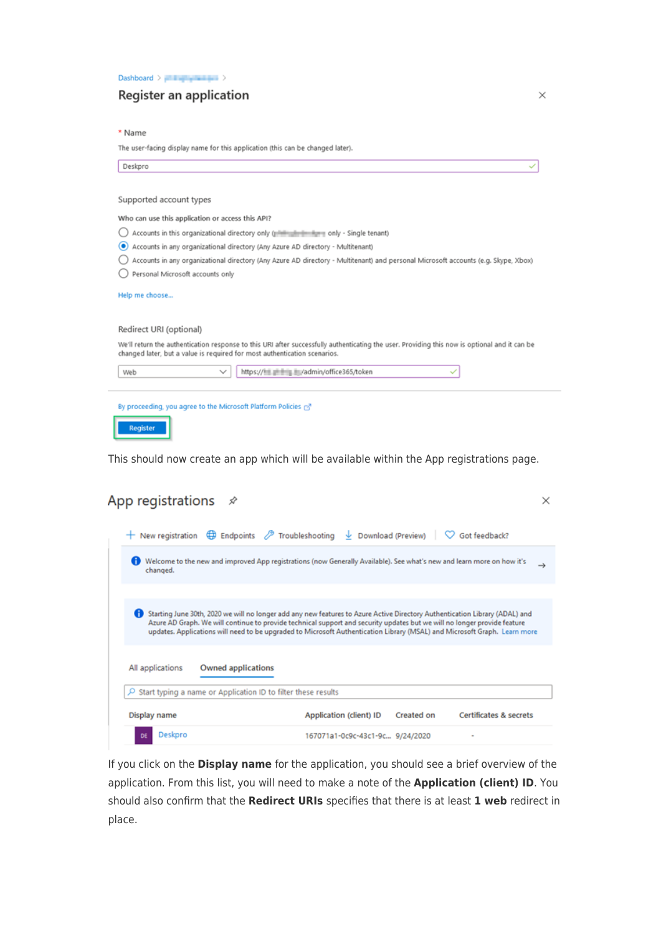Dashboard >  $\frac{1}{2}$  +  $\frac{1}{2}$  +  $\frac{1}{2}$  +  $\frac{1}{2}$  +  $\frac{1}{2}$  +  $\frac{1}{2}$ 

#### Register an application

\* Name

The user-facing display name for this application (this can be changed later).

| Deskpro                                                                                                                                                                                                                    |
|----------------------------------------------------------------------------------------------------------------------------------------------------------------------------------------------------------------------------|
| Supported account types                                                                                                                                                                                                    |
| Who can use this application or access this API?                                                                                                                                                                           |
| Accounts in this organizational directory only (possibilities that is only - Single tenant)                                                                                                                                |
| Accounts in any organizational directory (Any Azure AD directory - Multitenant)<br>œ                                                                                                                                       |
| Accounts in any organizational directory (Any Azure AD directory - Multitenant) and personal Microsoft accounts (e.g. Skype, Xbox)                                                                                         |
| Personal Microsoft accounts only                                                                                                                                                                                           |
| Help me choose<br>Redirect URI (optional)                                                                                                                                                                                  |
| We'll return the authentication response to this URI after successfully authenticating the user. Providing this now is optional and it can be<br>changed later, but a value is required for most authentication scenarios. |
| https://               / admin/office365/token<br>$\checkmark$<br>Web                                                                                                                                                      |
| By proceeding, you agree to the Microsoft Platform Policies rs <sup>7</sup>                                                                                                                                                |
| <b>Register</b>                                                                                                                                                                                                            |

This should now create an app which will be available within the App registrations page.

## App registrations  $\mathcal{R}$

| $\bigoplus$ Endpoints $\bigotimes$ Troubleshooting $\bigcup$ Download (Preview)<br>$+$ New registration                                                                                                                                                                                                                                                                                   |                                 |            | Got feedback?                     |               |
|-------------------------------------------------------------------------------------------------------------------------------------------------------------------------------------------------------------------------------------------------------------------------------------------------------------------------------------------------------------------------------------------|---------------------------------|------------|-----------------------------------|---------------|
| Welcome to the new and improved App registrations (now Generally Available). See what's new and learn more on how it's<br>changed.                                                                                                                                                                                                                                                        |                                 |            |                                   | $\rightarrow$ |
|                                                                                                                                                                                                                                                                                                                                                                                           |                                 |            |                                   |               |
| Œ<br>Starting June 30th, 2020 we will no longer add any new features to Azure Active Directory Authentication Library (ADAL) and<br>Azure AD Graph. We will continue to provide technical support and security updates but we will no longer provide feature<br>updates. Applications will need to be upgraded to Microsoft Authentication Library (MSAL) and Microsoft Graph. Learn more |                                 |            |                                   |               |
| Owned applications<br>All applications                                                                                                                                                                                                                                                                                                                                                    |                                 |            |                                   |               |
| Start typing a name or Application ID to filter these results<br>Ω                                                                                                                                                                                                                                                                                                                        |                                 |            |                                   |               |
| Display name                                                                                                                                                                                                                                                                                                                                                                              | Application (client) ID         | Created on | <b>Certificates &amp; secrets</b> |               |
| Deskpro<br>DE                                                                                                                                                                                                                                                                                                                                                                             | 167071a1-0c9c-43c1-9c 9/24/2020 |            |                                   |               |

If you click on the Display name for the application, you should see a brief overview of the application. From this list, you will need to make a note of the Application (client) ID. You should also confirm that the Redirect URIs specifies that there is at least 1 web redirect in place.

 $\times$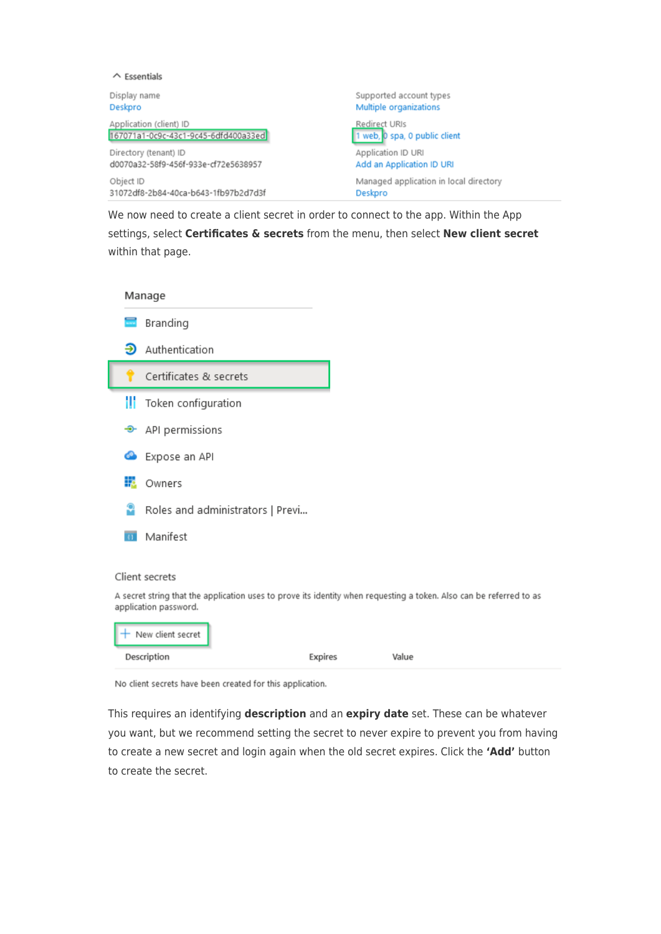| $\wedge$ Essentials                  |                                        |
|--------------------------------------|----------------------------------------|
| Display name                         | Supported account types                |
| Deskpro                              | Multiple organizations                 |
| Application (client) ID              | Redirect URIs                          |
| 167071a1-0c9c-43c1-9c45-6dfd400a33ed | 1 web, 0 spa, 0 public client          |
| Directory (tenant) ID                | Application ID URI                     |
| d0070a32-58f9-456f-933e-cf72e5638957 | Add an Application ID URI              |
| Object ID                            | Managed application in local directory |
| 31072df8-2b84-40ca-b643-1fb97b2d7d3f | Deskpro                                |

We now need to create a client secret in order to connect to the app. Within the App settings, select **Certificates & secrets** from the menu, then select **New client secret** within that page.

|                          | Manage                           |                                                                                                                     |
|--------------------------|----------------------------------|---------------------------------------------------------------------------------------------------------------------|
| $\overline{\phantom{m}}$ | Branding                         |                                                                                                                     |
| ℈                        | Authentication                   |                                                                                                                     |
|                          | Certificates & secrets           |                                                                                                                     |
| Ш                        | Token configuration              |                                                                                                                     |
| ╼                        | API permissions                  |                                                                                                                     |
| œ                        | Expose an API                    |                                                                                                                     |
| 焣                        | Owners                           |                                                                                                                     |
| m                        | Roles and administrators   Previ |                                                                                                                     |
|                          | Manifest                         |                                                                                                                     |
|                          | Client secrets                   |                                                                                                                     |
|                          | application password.            | A secret string that the application uses to prove its identity when requesting a token. Also can be referred to as |
|                          | + New client secret              |                                                                                                                     |

| Description | Expires | Value |  |
|-------------|---------|-------|--|
|             |         |       |  |

No client secrets have been created for this application.

This requires an identifying **description** and an **expiry date** set. These can be whatever you want, but we recommend setting the secret to never expire to prevent you from having to create a new secret and login again when the old secret expires. Click the **'Add'** button to create the secret.